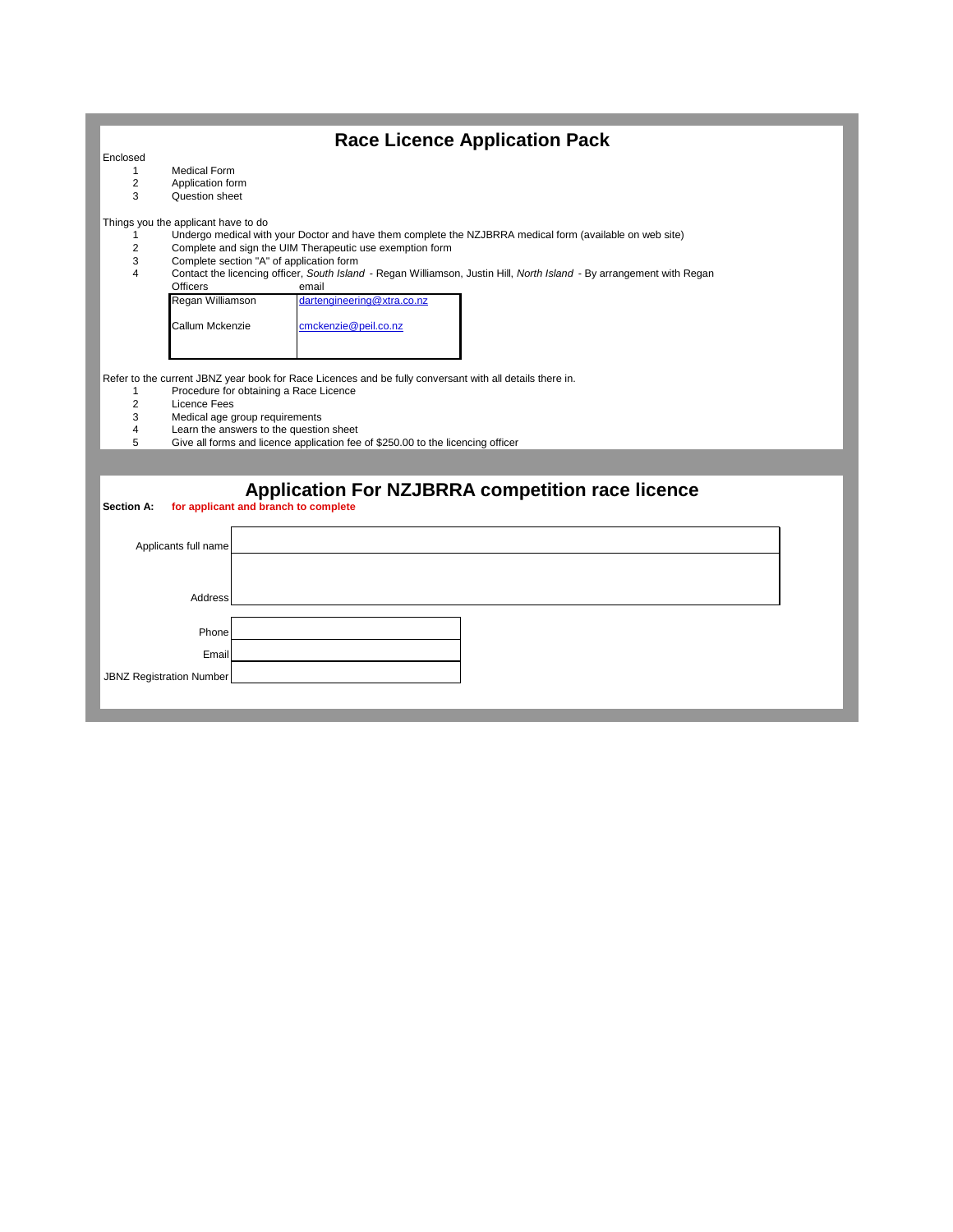|                                     | <b>Race Licence Application Pack</b>                                                                                                               |  |
|-------------------------------------|----------------------------------------------------------------------------------------------------------------------------------------------------|--|
| Enclosed                            |                                                                                                                                                    |  |
| 1                                   | <b>Medical Form</b>                                                                                                                                |  |
| 2<br>3                              | Application form<br>Question sheet                                                                                                                 |  |
|                                     |                                                                                                                                                    |  |
| Things you the applicant have to do |                                                                                                                                                    |  |
| 1                                   | Undergo medical with your Doctor and have them complete the NZJBRRA medical form (available on web site)                                           |  |
| 2<br>3                              | Complete and sign the UIM Therapeutic use exemption form<br>Complete section "A" of application form                                               |  |
| 4                                   | Contact the licencing officer, South Island - Regan Williamson, Justin Hill, North Island - By arrangement with Regan                              |  |
|                                     | <b>Officers</b><br>email                                                                                                                           |  |
|                                     | Regan Williamson<br>dartengineering@xtra.co.nz                                                                                                     |  |
|                                     | Callum Mckenzie<br>cmckenzie@peil.co.nz                                                                                                            |  |
|                                     |                                                                                                                                                    |  |
|                                     |                                                                                                                                                    |  |
|                                     |                                                                                                                                                    |  |
| $\mathbf{1}$                        | Refer to the current JBNZ year book for Race Licences and be fully conversant with all details there in.<br>Procedure for obtaining a Race Licence |  |
| $\overline{2}$                      | Licence Fees                                                                                                                                       |  |
| 3                                   | Medical age group requirements                                                                                                                     |  |
| 4                                   | Learn the answers to the question sheet                                                                                                            |  |
| 5                                   | Give all forms and licence application fee of \$250.00 to the licencing officer                                                                    |  |
|                                     |                                                                                                                                                    |  |
|                                     |                                                                                                                                                    |  |
|                                     | <b>Application For NZJBRRA competition race licence</b>                                                                                            |  |
| <b>Section A:</b>                   | for applicant and branch to complete                                                                                                               |  |
|                                     |                                                                                                                                                    |  |
| Applicants full name                |                                                                                                                                                    |  |
|                                     |                                                                                                                                                    |  |
|                                     |                                                                                                                                                    |  |
| Address                             |                                                                                                                                                    |  |
|                                     |                                                                                                                                                    |  |
| Phone                               |                                                                                                                                                    |  |
|                                     |                                                                                                                                                    |  |
|                                     | Emai                                                                                                                                               |  |
| <b>JBNZ Registration Number</b>     |                                                                                                                                                    |  |
|                                     |                                                                                                                                                    |  |
|                                     |                                                                                                                                                    |  |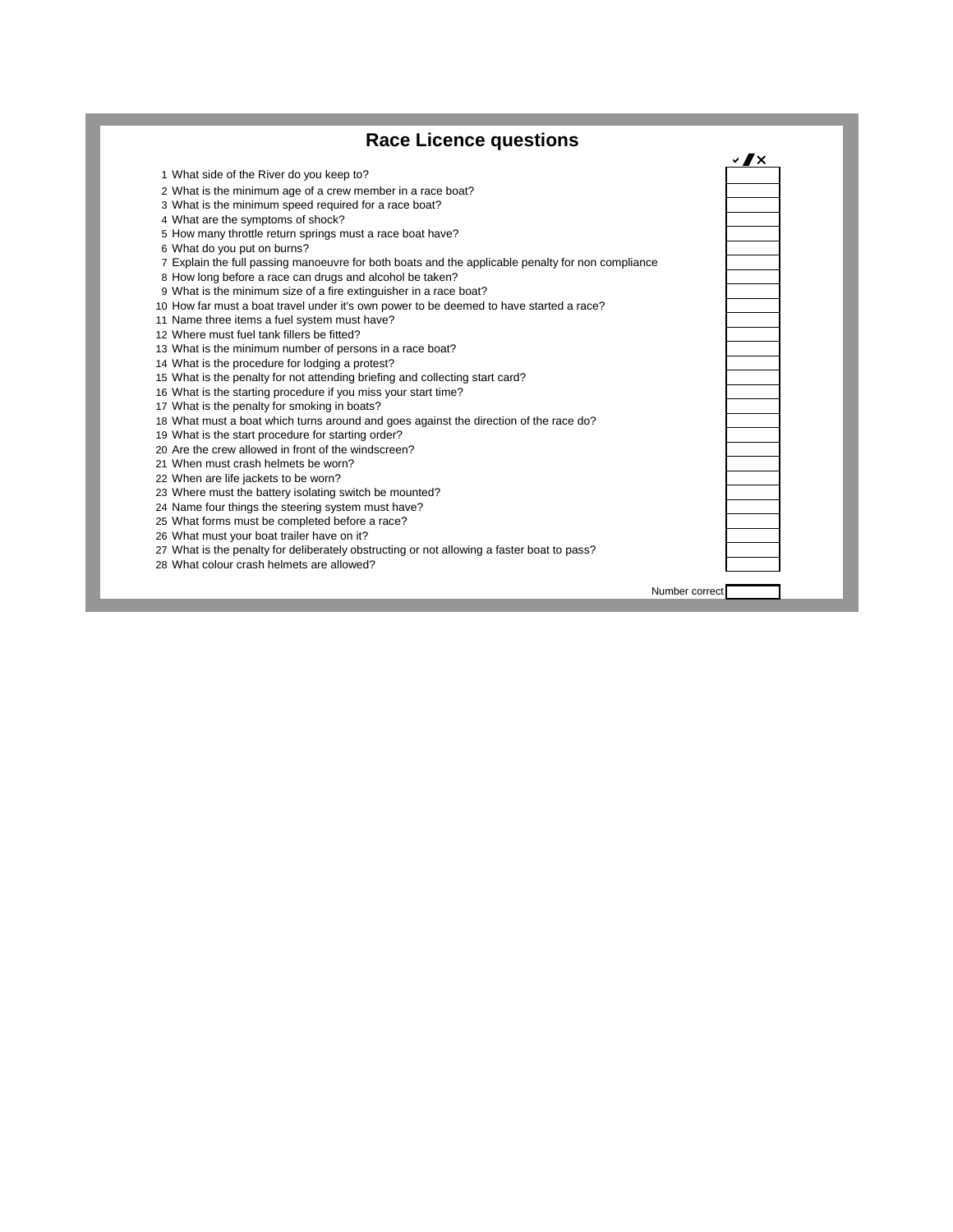